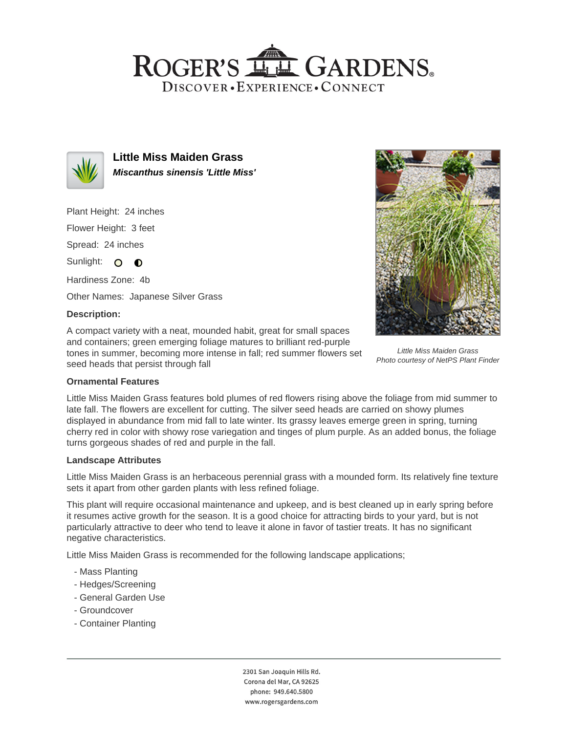## ROGER'S LL GARDENS. DISCOVER · EXPERIENCE · CONNECT



**Little Miss Maiden Grass Miscanthus sinensis 'Little Miss'**

Plant Height: 24 inches Flower Height: 3 feet

Spread: 24 inches

Sunlight: O **O** 

Hardiness Zone: 4b

Other Names: Japanese Silver Grass

### **Description:**

A compact variety with a neat, mounded habit, great for small spaces and containers; green emerging foliage matures to brilliant red-purple tones in summer, becoming more intense in fall; red summer flowers set seed heads that persist through fall



Little Miss Maiden Grass Photo courtesy of NetPS Plant Finder

### **Ornamental Features**

Little Miss Maiden Grass features bold plumes of red flowers rising above the foliage from mid summer to late fall. The flowers are excellent for cutting. The silver seed heads are carried on showy plumes displayed in abundance from mid fall to late winter. Its grassy leaves emerge green in spring, turning cherry red in color with showy rose variegation and tinges of plum purple. As an added bonus, the foliage turns gorgeous shades of red and purple in the fall.

### **Landscape Attributes**

Little Miss Maiden Grass is an herbaceous perennial grass with a mounded form. Its relatively fine texture sets it apart from other garden plants with less refined foliage.

This plant will require occasional maintenance and upkeep, and is best cleaned up in early spring before it resumes active growth for the season. It is a good choice for attracting birds to your yard, but is not particularly attractive to deer who tend to leave it alone in favor of tastier treats. It has no significant negative characteristics.

Little Miss Maiden Grass is recommended for the following landscape applications;

- Mass Planting
- Hedges/Screening
- General Garden Use
- Groundcover
- Container Planting

2301 San Joaquin Hills Rd. Corona del Mar, CA 92625 phone: 949.640.5800 www.rogersgardens.com